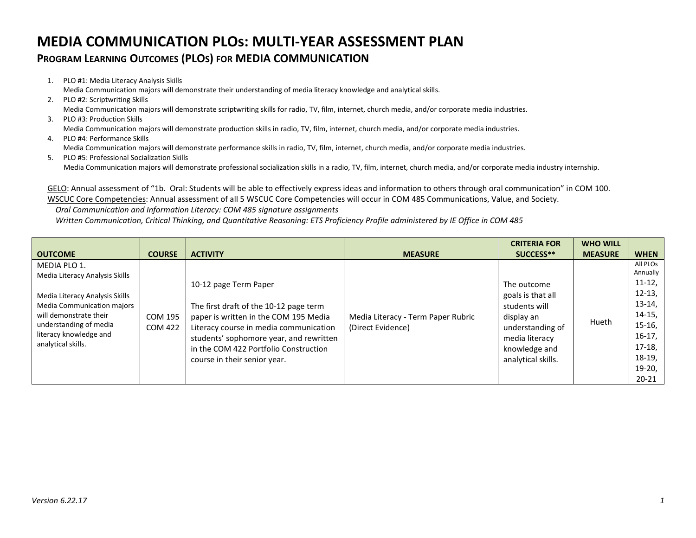## **MEDIA COMMUNICATION PLOs: MULTI-YEAR ASSESSMENT PLAN**

## **PROGRAM LEARNING OUTCOMES (PLOS) FOR MEDIA COMMUNICATION**

- 1. PLO #1: Media Literacy Analysis Skills Media Communication majors will demonstrate their understanding of media literacy knowledge and analytical skills.
- 2. PLO #2: Scriptwriting Skills Media Communication majors will demonstrate scriptwriting skills for radio, TV, film, internet, church media, and/or corporate media industries.
- 3. PLO #3: Production Skills Media Communication majors will demonstrate production skills in radio, TV, film, internet, church media, and/or corporate media industries.
- 4. PLO #4: Performance Skills Media Communication majors will demonstrate performance skills in radio, TV, film, internet, church media, and/or corporate media industries.
- 5. PLO #5: Professional Socialization Skills Media Communication majors will demonstrate professional socialization skills in a radio, TV, film, internet, church media, and/or corporate media industry internship.

GELO: Annual assessment of "1b. Oral: Students will be able to effectively express ideas and information to others through oral communication" in COM 100. WSCUC Core Competencies: Annual assessment of all 5 WSCUC Core Competencies will occur in COM 485 Communications, Value, and Society.

 *Oral Communication and Information Literacy: COM 485 signature assignments*

 *Written Communication, Critical Thinking, and Quantitative Reasoning: ETS Proficiency Profile administered by IE Office in COM 485*

|                                                                                                                                                                  |                    |                                                                                                                                                                                                                                                                        |                                                         | <b>CRITERIA FOR</b>                                                                                                                          | <b>WHO WILL</b> |                      |
|------------------------------------------------------------------------------------------------------------------------------------------------------------------|--------------------|------------------------------------------------------------------------------------------------------------------------------------------------------------------------------------------------------------------------------------------------------------------------|---------------------------------------------------------|----------------------------------------------------------------------------------------------------------------------------------------------|-----------------|----------------------|
| <b>OUTCOME</b>                                                                                                                                                   | <b>COURSE</b>      | <b>ACTIVITY</b>                                                                                                                                                                                                                                                        | <b>MEASURE</b>                                          | SUCCESS**                                                                                                                                    | <b>MEASURE</b>  | <b>WHEN</b>          |
| MEDIA PLO 1.                                                                                                                                                     |                    | 10-12 page Term Paper<br>The first draft of the 10-12 page term<br>paper is written in the COM 195 Media<br>Literacy course in media communication<br>students' sophomore year, and rewritten<br>in the COM 422 Portfolio Construction<br>course in their senior year. | Media Literacy - Term Paper Rubric<br>(Direct Evidence) | The outcome<br>goals is that all<br>students will<br>display an<br>understanding of<br>media literacy<br>knowledge and<br>analytical skills. | Hueth           | All PLOS             |
| Media Literacy Analysis Skills                                                                                                                                   |                    |                                                                                                                                                                                                                                                                        |                                                         |                                                                                                                                              |                 | Annually<br>$11-12,$ |
| Media Literacy Analysis Skills<br>Media Communication majors<br>will demonstrate their<br>understanding of media<br>literacy knowledge and<br>analytical skills. | COM 195<br>COM 422 |                                                                                                                                                                                                                                                                        |                                                         |                                                                                                                                              |                 | $12-13,$             |
|                                                                                                                                                                  |                    |                                                                                                                                                                                                                                                                        |                                                         |                                                                                                                                              |                 | $13-14,$             |
|                                                                                                                                                                  |                    |                                                                                                                                                                                                                                                                        |                                                         |                                                                                                                                              |                 | $14-15$ ,            |
|                                                                                                                                                                  |                    |                                                                                                                                                                                                                                                                        |                                                         |                                                                                                                                              |                 | $15-16$ ,            |
|                                                                                                                                                                  |                    |                                                                                                                                                                                                                                                                        |                                                         |                                                                                                                                              |                 | $16-17,$             |
|                                                                                                                                                                  |                    |                                                                                                                                                                                                                                                                        |                                                         |                                                                                                                                              |                 | $17-18,$             |
|                                                                                                                                                                  |                    |                                                                                                                                                                                                                                                                        |                                                         |                                                                                                                                              |                 | 18-19,               |
|                                                                                                                                                                  |                    |                                                                                                                                                                                                                                                                        |                                                         |                                                                                                                                              |                 | $19-20,$             |
|                                                                                                                                                                  |                    |                                                                                                                                                                                                                                                                        |                                                         |                                                                                                                                              |                 | $20 - 21$            |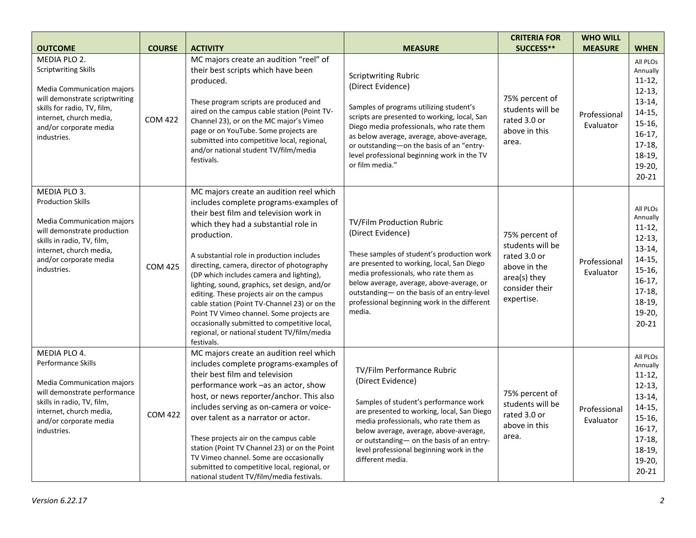| <b>OUTCOME</b>                                                                                                                                                                                                 | <b>COURSE</b>  | <b>ACTIVITY</b>                                                                                                                                                                                                                                                                                                                                                                                                                                                                                                                                                                                                                    | <b>MEASURE</b>                                                                                                                                                                                                                                                                                                                                      | <b>CRITERIA FOR</b><br>SUCCESS**                                                                                   | <b>WHO WILL</b><br><b>MEASURE</b> | <b>WHEN</b>                                                                                                                                   |
|----------------------------------------------------------------------------------------------------------------------------------------------------------------------------------------------------------------|----------------|------------------------------------------------------------------------------------------------------------------------------------------------------------------------------------------------------------------------------------------------------------------------------------------------------------------------------------------------------------------------------------------------------------------------------------------------------------------------------------------------------------------------------------------------------------------------------------------------------------------------------------|-----------------------------------------------------------------------------------------------------------------------------------------------------------------------------------------------------------------------------------------------------------------------------------------------------------------------------------------------------|--------------------------------------------------------------------------------------------------------------------|-----------------------------------|-----------------------------------------------------------------------------------------------------------------------------------------------|
| MEDIA PLO 2.<br>Scriptwriting Skills<br><b>Media Communication majors</b><br>will demonstrate scriptwriting<br>skills for radio, TV, film,<br>internet, church media,<br>and/or corporate media<br>industries. | <b>COM 422</b> | MC majors create an audition "reel" of<br>their best scripts which have been<br>produced.<br>These program scripts are produced and<br>aired on the campus cable station (Point TV-<br>Channel 23), or on the MC major's Vimeo<br>page or on YouTube. Some projects are<br>submitted into competitive local, regional,<br>and/or national student TV/film/media<br>festivals.                                                                                                                                                                                                                                                      | <b>Scriptwriting Rubric</b><br>(Direct Evidence)<br>Samples of programs utilizing student's<br>scripts are presented to working, local, San<br>Diego media professionals, who rate them<br>as below average, average, above-average,<br>or outstanding-on the basis of an "entry-<br>level professional beginning work in the TV<br>or film media." | 75% percent of<br>students will be<br>rated 3.0 or<br>above in this<br>area.                                       | Professional<br>Evaluator         | All PLOs<br>Annually<br>$11-12,$<br>$12-13,$<br>$13-14,$<br>$14-15,$<br>$15-16,$<br>$16-17,$<br>$17-18,$<br>$18-19,$<br>$19-20,$<br>$20 - 21$ |
| MEDIA PLO 3.<br><b>Production Skills</b><br><b>Media Communication majors</b><br>will demonstrate production<br>skills in radio, TV, film,<br>internet, church media,<br>and/or corporate media<br>industries. | <b>COM 425</b> | MC majors create an audition reel which<br>includes complete programs-examples of<br>their best film and television work in<br>which they had a substantial role in<br>production.<br>A substantial role in production includes<br>directing, camera, director of photography<br>(DP which includes camera and lighting),<br>lighting, sound, graphics, set design, and/or<br>editing. These projects air on the campus<br>cable station (Point TV-Channel 23) or on the<br>Point TV Vimeo channel. Some projects are<br>occasionally submitted to competitive local,<br>regional, or national student TV/film/media<br>festivals. | TV/Film Production Rubric<br>(Direct Evidence)<br>These samples of student's production work<br>are presented to working, local, San Diego<br>media professionals, who rate them as<br>below average, average, above-average, or<br>outstanding- on the basis of an entry-level<br>professional beginning work in the different<br>media.           | 75% percent of<br>students will be<br>rated 3.0 or<br>above in the<br>area(s) they<br>consider their<br>expertise. | Professional<br>Evaluator         | All PLOs<br>Annually<br>$11-12,$<br>$12-13,$<br>$13-14,$<br>$14-15,$<br>$15-16,$<br>$16-17,$<br>$17-18,$<br>$18-19,$<br>$19-20,$<br>$20 - 21$ |
| MEDIA PLO 4.<br>Performance Skills<br><b>Media Communication majors</b><br>will demonstrate performance<br>skills in radio, TV, film,<br>internet, church media,<br>and/or corporate media<br>industries.      | <b>COM 422</b> | MC majors create an audition reel which<br>includes complete programs-examples of<br>their best film and television<br>performance work -as an actor, show<br>host, or news reporter/anchor. This also<br>includes serving as on-camera or voice-<br>over talent as a narrator or actor.<br>These projects air on the campus cable<br>station (Point TV Channel 23) or on the Point<br>TV Vimeo channel. Some are occasionally<br>submitted to competitive local, regional, or<br>national student TV/film/media festivals.                                                                                                        | TV/Film Performance Rubric<br>(Direct Evidence)<br>Samples of student's performance work<br>are presented to working, local, San Diego<br>media professionals, who rate them as<br>below average, average, above-average,<br>or outstanding- on the basis of an entry-<br>level professional beginning work in the<br>different media.              | 75% percent of<br>students will be<br>rated 3.0 or<br>above in this<br>area.                                       | Professional<br>Evaluator         | All PLOs<br>Annually<br>$11-12,$<br>$12-13,$<br>$13-14,$<br>$14-15,$<br>$15-16,$<br>$16-17,$<br>$17-18,$<br>$18-19,$<br>$19-20,$<br>$20 - 21$ |